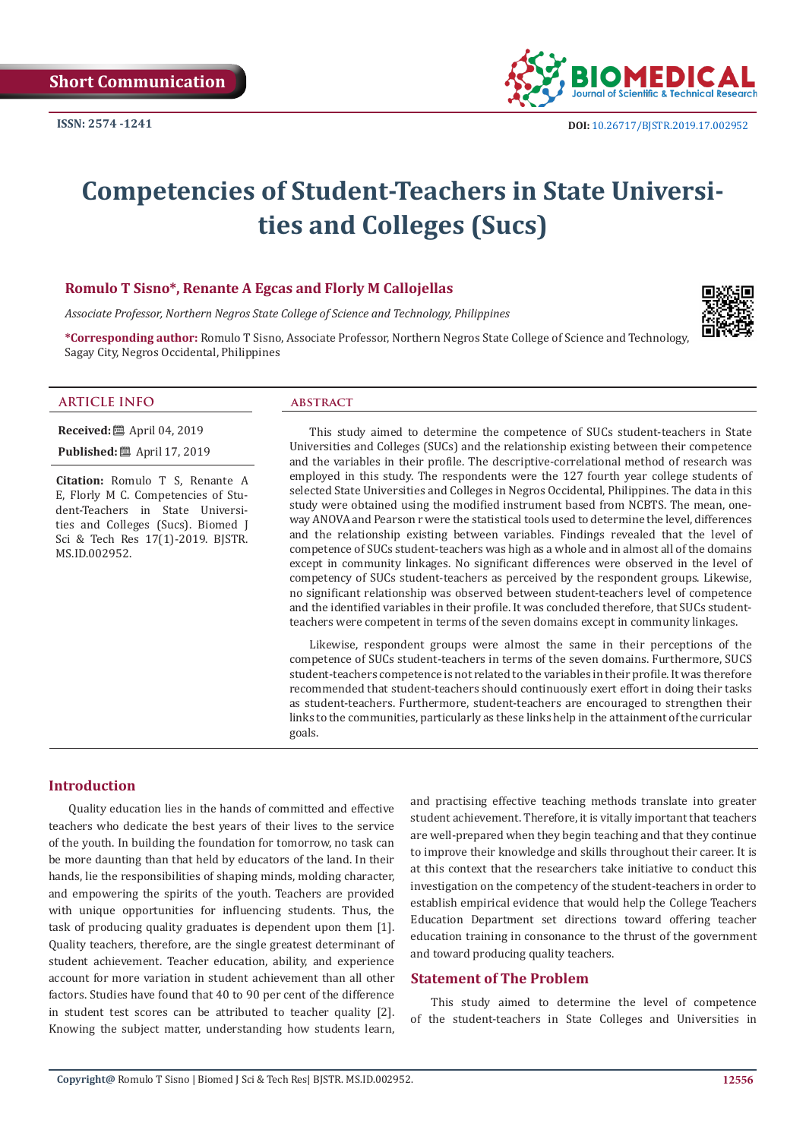

# **Competencies of Student-Teachers in State Universities and Colleges (Sucs)**

# **Romulo T Sisno\*, Renante A Egcas and Florly M Callojellas**

*Associate Professor, Northern Negros State College of Science and Technology, Philippines*

**\*Corresponding author:** Romulo T Sisno, Associate Professor, Northern Negros State College of Science and Technology, Sagay City, Negros Occidental, Philippines



# **ARTICLE INFO abstract**

**Received:** ■ April 04, 2019

**Published:** ■ April 17, 2019

**Citation:** Romulo T S, Renante A E, Florly M C. Competencies of Student-Teachers in State Universities and Colleges (Sucs). Biomed J Sci & Tech Res 17(1)-2019. BJSTR. MS.ID.002952.

This study aimed to determine the competence of SUCs student-teachers in State Universities and Colleges (SUCs) and the relationship existing between their competence and the variables in their profile. The descriptive-correlational method of research was employed in this study. The respondents were the 127 fourth year college students of selected State Universities and Colleges in Negros Occidental, Philippines. The data in this study were obtained using the modified instrument based from NCBTS. The mean, oneway ANOVA and Pearson r were the statistical tools used to determine the level, differences and the relationship existing between variables. Findings revealed that the level of competence of SUCs student-teachers was high as a whole and in almost all of the domains except in community linkages. No significant differences were observed in the level of competency of SUCs student-teachers as perceived by the respondent groups. Likewise, no significant relationship was observed between student-teachers level of competence and the identified variables in their profile. It was concluded therefore, that SUCs studentteachers were competent in terms of the seven domains except in community linkages.

Likewise, respondent groups were almost the same in their perceptions of the competence of SUCs student-teachers in terms of the seven domains. Furthermore, SUCS student-teachers competence is not related to the variables in their profile. It was therefore recommended that student-teachers should continuously exert effort in doing their tasks as student-teachers. Furthermore, student-teachers are encouraged to strengthen their links to the communities, particularly as these links help in the attainment of the curricular goals.

# **Introduction**

Quality education lies in the hands of committed and effective teachers who dedicate the best years of their lives to the service of the youth. In building the foundation for tomorrow, no task can be more daunting than that held by educators of the land. In their hands, lie the responsibilities of shaping minds, molding character, and empowering the spirits of the youth. Teachers are provided with unique opportunities for influencing students. Thus, the task of producing quality graduates is dependent upon them [1]. Quality teachers, therefore, are the single greatest determinant of student achievement. Teacher education, ability, and experience account for more variation in student achievement than all other factors. Studies have found that 40 to 90 per cent of the difference in student test scores can be attributed to teacher quality [2]. Knowing the subject matter, understanding how students learn,

and practising effective teaching methods translate into greater student achievement. Therefore, it is vitally important that teachers are well-prepared when they begin teaching and that they continue to improve their knowledge and skills throughout their career. It is at this context that the researchers take initiative to conduct this investigation on the competency of the student-teachers in order to establish empirical evidence that would help the College Teachers Education Department set directions toward offering teacher education training in consonance to the thrust of the government and toward producing quality teachers.

#### **Statement of The Problem**

This study aimed to determine the level of competence of the student-teachers in State Colleges and Universities in